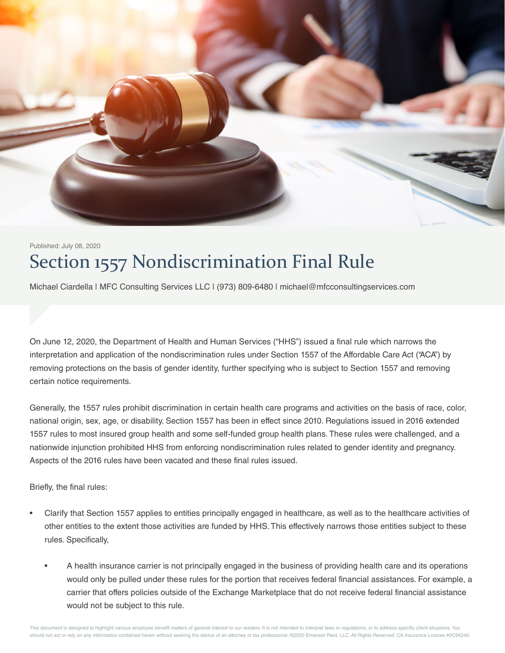

## Section 1557 Nondiscrimination Final Rule Published: July 08, 2020

Michael Ciardella | MFC Consulting Services LLC | (973) 809-6480 | michael@mfcconsultingservices.com

On June 12, 2020, the Department of Health and Human Services ("HHS") issued a final rule which narrows the interpretation and application of the nondiscrimination rules under Section 1557 of the Affordable Care Act ("ACA") by removing protections on the basis of gender identity, further specifying who is subject to Section 1557 and removing certain notice requirements.

Generally, the 1557 rules prohibit discrimination in certain health care programs and activities on the basis of race, color, national origin, sex, age, or disability. Section 1557 has been in effect since 2010. Regulations issued in 2016 extended 1557 rules to most insured group health and some self-funded group health plans. These rules were challenged, and a nationwide injunction prohibited HHS from enforcing nondiscrimination rules related to gender identity and pregnancy. Aspects of the 2016 rules have been vacated and these final rules issued.

Briefly, the final rules:

- Clarify that Section 1557 applies to entities principally engaged in healthcare, as well as to the healthcare activities of other entities to the extent those activities are funded by HHS. This effectively narrows those entities subject to these rules. Specifically,
	- A health insurance carrier is not principally engaged in the business of providing health care and its operations would only be pulled under these rules for the portion that receives federal financial assistances. For example, a carrier that offers policies outside of the Exchange Marketplace that do not receive federal financial assistance would not be subject to this rule.